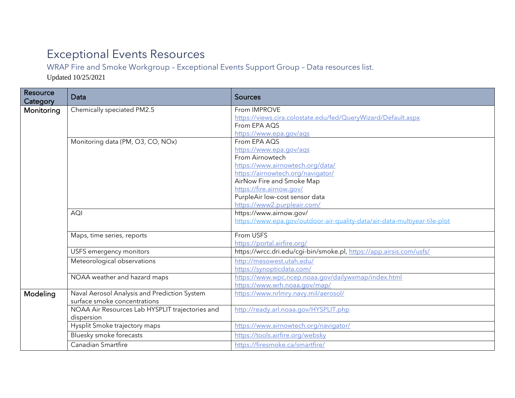## Exceptional Events Resources

WRAP Fire and Smoke Workgroup – Exceptional Events Support Group – Data resources list.

Updated 10/25/2021

| Resource<br>Category | Data                                            | <b>Sources</b>                                                            |
|----------------------|-------------------------------------------------|---------------------------------------------------------------------------|
| Monitoring           | Chemically speciated PM2.5                      | From IMPROVE                                                              |
|                      |                                                 | https://views.cira.colostate.edu/fed/QueryWizard/Default.aspx             |
|                      |                                                 | From EPA AQS                                                              |
|                      |                                                 | https://www.epa.gov/ags                                                   |
|                      | Monitoring data (PM, O3, CO, NOx)               | From EPA AQS                                                              |
|                      |                                                 | https://www.epa.gov/aqs                                                   |
|                      |                                                 | From Airnowtech                                                           |
|                      |                                                 | https://www.airnowtech.org/data/                                          |
|                      |                                                 | https://airnowtech.org/navigator/<br>AirNow Fire and Smoke Map            |
|                      |                                                 | https://fire.airnow.gov/                                                  |
|                      |                                                 | PurpleAir low-cost sensor data                                            |
|                      |                                                 | https://www2.purpleair.com/                                               |
|                      | <b>AQI</b>                                      | https://www.airnow.gov/                                                   |
|                      |                                                 | https://www.epa.gov/outdoor-air-quality-data/air-data-multiyear-tile-plot |
|                      |                                                 |                                                                           |
|                      | Maps, time series, reports                      | From USFS                                                                 |
|                      |                                                 | https://portal.airfire.org/                                               |
|                      | USFS emergency monitors                         | https://wrcc.dri.edu/cgi-bin/smoke.pl, https://app.airsis.com/usfs/       |
|                      | Meteorological observations                     | http://mesowest.utah.edu/                                                 |
|                      |                                                 | https://synopticdata.com/                                                 |
|                      | NOAA weather and hazard maps                    | https://www.wpc.ncep.noaa.gov/dailywxmap/index.html                       |
|                      |                                                 | https://www.wrh.noaa.gov/map/                                             |
| Modeling             | Naval Aerosol Analysis and Prediction System    | https://www.nrlmry.navy.mil/aerosol/                                      |
|                      | surface smoke concentrations                    |                                                                           |
|                      | NOAA Air Resources Lab HYSPLIT trajectories and | http://ready.arl.noaa.gov/HYSPLIT.php                                     |
|                      | dispersion                                      |                                                                           |
|                      | Hysplit Smoke trajectory maps                   | https://www.airnowtech.org/navigator/                                     |
|                      | Bluesky smoke forecasts                         | https://tools.airfire.org/websky                                          |
|                      | <b>Canadian Smartfire</b>                       | https://firesmoke.ca/smartfire/                                           |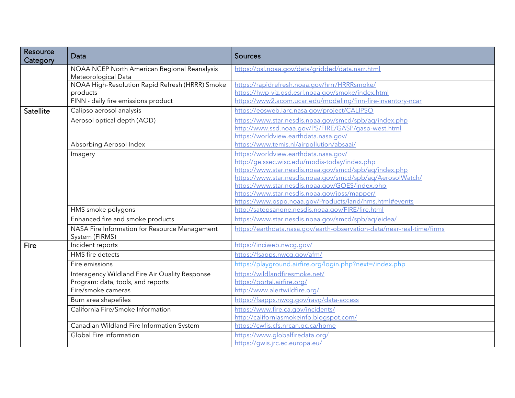| Resource<br>Category | Data                                                                                | <b>Sources</b>                                                                                                                                                                                                 |
|----------------------|-------------------------------------------------------------------------------------|----------------------------------------------------------------------------------------------------------------------------------------------------------------------------------------------------------------|
|                      | NOAA NCEP North American Regional Reanalysis<br>Meteorological Data                 | https://psl.noaa.gov/data/gridded/data.narr.html                                                                                                                                                               |
|                      | NOAA High-Resolution Rapid Refresh (HRRR) Smoke<br>products                         | https://rapidrefresh.noaa.gov/hrrr/HRRRsmoke/<br>https://hwp-viz.gsd.esrl.noaa.gov/smoke/index.html                                                                                                            |
|                      | FINN - daily fire emissions product                                                 | https://www2.acom.ucar.edu/modeling/finn-fire-inventory-ncar                                                                                                                                                   |
| <b>Satellite</b>     | Calipso aerosol analysis                                                            | https://eosweb.larc.nasa.gov/project/CALIPSO                                                                                                                                                                   |
|                      | Aerosol optical depth (AOD)                                                         | https://www.star.nesdis.noaa.gov/smcd/spb/ag/index.php<br>http://www.ssd.noaa.gov/PS/FIRE/GASP/gasp-west.html<br>https://worldview.earthdata.nasa.gov/                                                         |
|                      | Absorbing Aerosol Index                                                             | https://www.temis.nl/airpollution/absaai/                                                                                                                                                                      |
|                      | Imagery                                                                             | https://worldview.earthdata.nasa.gov/<br>http://ge.ssec.wisc.edu/modis-today/index.php<br>https://www.star.nesdis.noaa.gov/smcd/spb/aq/index.php<br>https://www.star.nesdis.noaa.gov/smcd/spb/ag/AerosolWatch/ |
|                      |                                                                                     | https://www.star.nesdis.noaa.gov/GOES/index.php<br>https://www.star.nesdis.noaa.gov/jpss/mapper/<br>https://www.ospo.noaa.gov/Products/land/hms.html#events                                                    |
|                      | HMS smoke polygons                                                                  | http://satepsanone.nesdis.noaa.gov/FIRE/fire.html                                                                                                                                                              |
|                      | Enhanced fire and smoke products                                                    | https://www.star.nesdis.noaa.gov/smcd/spb/ag/eidea/                                                                                                                                                            |
|                      | NASA Fire Information for Resource Management<br>System (FIRMS)                     | https://earthdata.nasa.gov/earth-observation-data/near-real-time/firms                                                                                                                                         |
| Fire                 | Incident reports                                                                    | https://inciweb.nwcg.gov/                                                                                                                                                                                      |
|                      | <b>HMS</b> fire detects                                                             | https://fsapps.nwcg.gov/afm/                                                                                                                                                                                   |
|                      | Fire emissions                                                                      | https://playground.airfire.org/login.php?next=/index.php                                                                                                                                                       |
|                      | Interagency Wildland Fire Air Quality Response<br>Program: data, tools, and reports | https://wildlandfiresmoke.net/<br>https://portal.airfire.org/                                                                                                                                                  |
|                      | Fire/smoke cameras                                                                  | http://www.alertwildfire.org/                                                                                                                                                                                  |
|                      | Burn area shapefiles                                                                | https://fsapps.nwcg.gov/ravg/data-access                                                                                                                                                                       |
|                      | California Fire/Smoke Information                                                   | https://www.fire.ca.gov/incidents/<br>http://californiasmokeinfo.blogspot.com/                                                                                                                                 |
|                      | Canadian Wildland Fire Information System                                           | https://cwfis.cfs.nrcan.gc.ca/home                                                                                                                                                                             |
|                      | Global Fire information                                                             | https://www.globalfiredata.org/<br>https://qwis.jrc.ec.europa.eu/                                                                                                                                              |